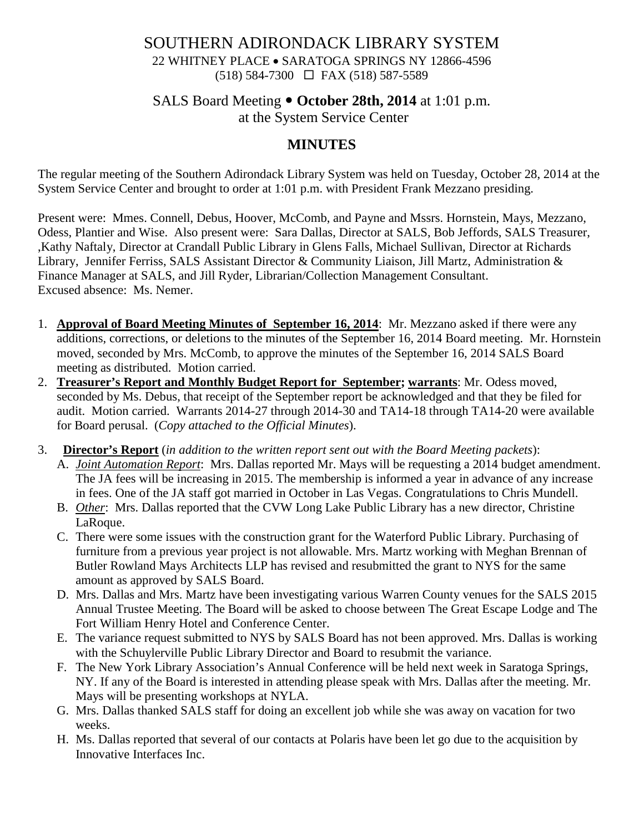### SOUTHERN ADIRONDACK LIBRARY SYSTEM 22 WHITNEY PLACE • SARATOGA SPRINGS NY 12866-4596 (518) 584-7300 FAX (518) 587-5589

# SALS Board Meeting  $\bullet$  October 28th, 2014 at 1:01 p.m.

at the System Service Center

## **MINUTES**

The regular meeting of the Southern Adirondack Library System was held on Tuesday, October 28, 2014 at the System Service Center and brought to order at 1:01 p.m. with President Frank Mezzano presiding.

Present were: Mmes. Connell, Debus, Hoover, McComb, and Payne and Mssrs. Hornstein, Mays, Mezzano, Odess, Plantier and Wise. Also present were: Sara Dallas, Director at SALS, Bob Jeffords, SALS Treasurer, ,Kathy Naftaly, Director at Crandall Public Library in Glens Falls, Michael Sullivan, Director at Richards Library, Jennifer Ferriss, SALS Assistant Director & Community Liaison, Jill Martz, Administration & Finance Manager at SALS, and Jill Ryder, Librarian/Collection Management Consultant. Excused absence: Ms. Nemer.

- 1. **Approval of Board Meeting Minutes of September 16, 2014**: Mr. Mezzano asked if there were any additions, corrections, or deletions to the minutes of the September 16, 2014 Board meeting. Mr. Hornstein moved, seconded by Mrs. McComb, to approve the minutes of the September 16, 2014 SALS Board meeting as distributed. Motion carried.
- 2. **Treasurer's Report and Monthly Budget Report for September; warrants**: Mr. Odess moved, seconded by Ms. Debus, that receipt of the September report be acknowledged and that they be filed for audit. Motion carried. Warrants 2014-27 through 2014-30 and TA14-18 through TA14-20 were available for Board perusal. (*Copy attached to the Official Minutes*).
- 3. **Director's Report** (*in addition to the written report sent out with the Board Meeting packets*):
	- A. *Joint Automation Report*: Mrs. Dallas reported Mr. Mays will be requesting a 2014 budget amendment. The JA fees will be increasing in 2015. The membership is informed a year in advance of any increase in fees. One of the JA staff got married in October in Las Vegas. Congratulations to Chris Mundell.
	- B. *Other*: Mrs. Dallas reported that the CVW Long Lake Public Library has a new director, Christine LaRoque.
	- C. There were some issues with the construction grant for the Waterford Public Library. Purchasing of furniture from a previous year project is not allowable. Mrs. Martz working with Meghan Brennan of Butler Rowland Mays Architects LLP has revised and resubmitted the grant to NYS for the same amount as approved by SALS Board.
	- D. Mrs. Dallas and Mrs. Martz have been investigating various Warren County venues for the SALS 2015 Annual Trustee Meeting. The Board will be asked to choose between The Great Escape Lodge and The Fort William Henry Hotel and Conference Center.
	- E. The variance request submitted to NYS by SALS Board has not been approved. Mrs. Dallas is working with the Schuylerville Public Library Director and Board to resubmit the variance.
	- F. The New York Library Association's Annual Conference will be held next week in Saratoga Springs, NY. If any of the Board is interested in attending please speak with Mrs. Dallas after the meeting. Mr. Mays will be presenting workshops at NYLA.
	- G. Mrs. Dallas thanked SALS staff for doing an excellent job while she was away on vacation for two weeks.
	- H. Ms. Dallas reported that several of our contacts at Polaris have been let go due to the acquisition by Innovative Interfaces Inc.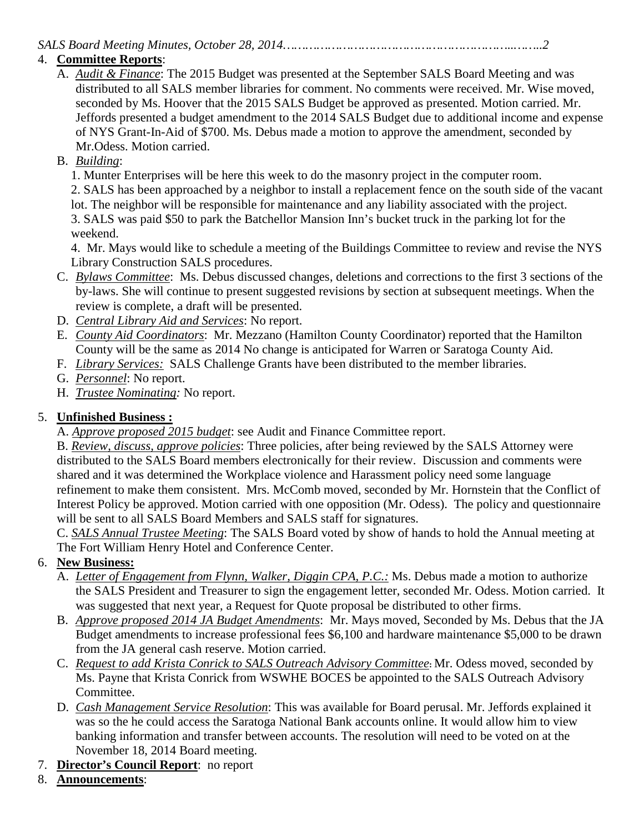#### *SALS Board Meeting Minutes, October 28, 2014……………………………………………………..……..2*

#### 4. **Committee Reports**:

- A. *Audit & Finance*: The 2015 Budget was presented at the September SALS Board Meeting and was distributed to all SALS member libraries for comment. No comments were received. Mr. Wise moved, seconded by Ms. Hoover that the 2015 SALS Budget be approved as presented. Motion carried. Mr. Jeffords presented a budget amendment to the 2014 SALS Budget due to additional income and expense of NYS Grant-In-Aid of \$700. Ms. Debus made a motion to approve the amendment, seconded by Mr.Odess. Motion carried.
- B. *Building*:

1. Munter Enterprises will be here this week to do the masonry project in the computer room. 2. SALS has been approached by a neighbor to install a replacement fence on the south side of the vacant lot. The neighbor will be responsible for maintenance and any liability associated with the project. 3. SALS was paid \$50 to park the Batchellor Mansion Inn's bucket truck in the parking lot for the

weekend.

4. Mr. Mays would like to schedule a meeting of the Buildings Committee to review and revise the NYS Library Construction SALS procedures.

- C. *Bylaws Committee*: Ms. Debus discussed changes, deletions and corrections to the first 3 sections of the by-laws. She will continue to present suggested revisions by section at subsequent meetings. When the review is complete, a draft will be presented.
- D. *Central Library Aid and Services*: No report.
- E. *County Aid Coordinators*: Mr. Mezzano (Hamilton County Coordinator) reported that the Hamilton County will be the same as 2014 No change is anticipated for Warren or Saratoga County Aid.
- F. *Library Services:* SALS Challenge Grants have been distributed to the member libraries.
- G. *Personnel*: No report.
- H. *Trustee Nominating:* No report.

#### 5. **Unfinished Business :**

A. *Approve proposed 2015 budget*: see Audit and Finance Committee report.

B. *Review, discuss, approve policies*: Three policies, after being reviewed by the SALS Attorney were distributed to the SALS Board members electronically for their review. Discussion and comments were shared and it was determined the Workplace violence and Harassment policy need some language refinement to make them consistent. Mrs. McComb moved, seconded by Mr. Hornstein that the Conflict of Interest Policy be approved. Motion carried with one opposition (Mr. Odess). The policy and questionnaire will be sent to all SALS Board Members and SALS staff for signatures.

C. *SALS Annual Trustee Meeting*: The SALS Board voted by show of hands to hold the Annual meeting at The Fort William Henry Hotel and Conference Center.

#### 6. **New Business:**

- A. *Letter of Engagement from Flynn, Walker, Diggin CPA, P.C.:* Ms. Debus made a motion to authorize the SALS President and Treasurer to sign the engagement letter, seconded Mr. Odess. Motion carried. It was suggested that next year, a Request for Quote proposal be distributed to other firms.
- B. *Approve proposed 2014 JA Budget Amendments*: Mr. Mays moved, Seconded by Ms. Debus that the JA Budget amendments to increase professional fees \$6,100 and hardware maintenance \$5,000 to be drawn from the JA general cash reserve. Motion carried.
- C. *Request to add Krista Conrick to SALS Outreach Advisory Committee***:** Mr. Odess moved, seconded by Ms. Payne that Krista Conrick from WSWHE BOCES be appointed to the SALS Outreach Advisory Committee.
- D. *Cash Management Service Resolution*: This was available for Board perusal. Mr. Jeffords explained it was so the he could access the Saratoga National Bank accounts online. It would allow him to view banking information and transfer between accounts. The resolution will need to be voted on at the November 18, 2014 Board meeting.
- 7. **Director's Council Report**: no report
- 8. **Announcements**: